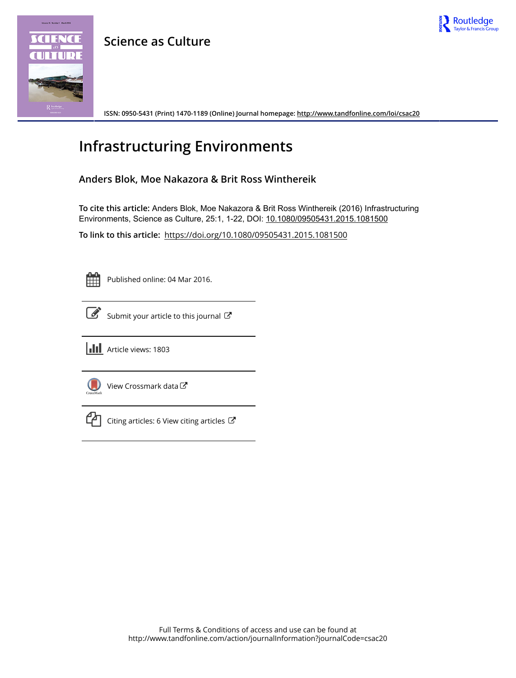

## **Science as Culture**



**ISSN: 0950-5431 (Print) 1470-1189 (Online) Journal homepage:<http://www.tandfonline.com/loi/csac20>**

# **Infrastructuring Environments**

**Anders Blok, Moe Nakazora & Brit Ross Winthereik**

**To cite this article:** Anders Blok, Moe Nakazora & Brit Ross Winthereik (2016) Infrastructuring Environments, Science as Culture, 25:1, 1-22, DOI: [10.1080/09505431.2015.1081500](http://www.tandfonline.com/action/showCitFormats?doi=10.1080/09505431.2015.1081500)

**To link to this article:** <https://doi.org/10.1080/09505431.2015.1081500>

Published online: 04 Mar 2016.



 $\overrightarrow{S}$  [Submit your article to this journal](http://www.tandfonline.com/action/authorSubmission?journalCode=csac20&show=instructions)  $\overrightarrow{S}$ 



**Article views: 1803** 



[View Crossmark data](http://crossmark.crossref.org/dialog/?doi=10.1080/09505431.2015.1081500&domain=pdf&date_stamp=2016-03-04)



 $\mathbb{C}$  [Citing articles: 6 View citing articles](http://www.tandfonline.com/doi/citedby/10.1080/09505431.2015.1081500#tabModule)  $\mathbb{C}$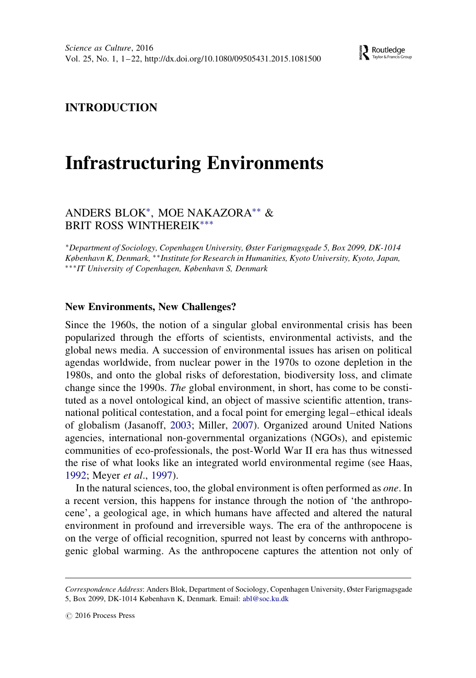$\sum_{\text{Taylor & Francis Grc}}$ Taylor & Francis Group

## INTRODUCTION

## Infrastructuring Environments

## ANDERS BLOK∗, MOE NAKAZORA∗∗ & BRIT ROSS WINTHEREIK∗∗∗

∗Department of Sociology, Copenhagen University, Øster Farigmagsgade 5, Box 2099, DK-1014 København K, Denmark, \*\*Institute for Research in Humanities, Kyoto University, Kyoto, Japan, ∗∗∗IT University of Copenhagen, København S, Denmark

#### New Environments, New Challenges?

Since the 1960s, the notion of a singular global environmental crisis has been popularized through the efforts of scientists, environmental activists, and the global news media. A succession of environmental issues has arisen on political agendas worldwide, from nuclear power in the 1970s to ozone depletion in the 1980s, and onto the global risks of deforestation, biodiversity loss, and climate change since the 1990s. The global environment, in short, has come to be constituted as a novel ontological kind, an object of massive scientific attention, transnational political contestation, and a focal point for emerging legal –ethical ideals of globalism (Jasanoff, [2003](#page-20-0); Miller, [2007\)](#page-21-0). Organized around United Nations agencies, international non-governmental organizations (NGOs), and epistemic communities of eco-professionals, the post-World War II era has thus witnessed the rise of what looks like an integrated world environmental regime (see Haas, [1992;](#page-20-0) Meyer et al., [1997\)](#page-21-0).

In the natural sciences, too, the global environment is often performed as *one*. In a recent version, this happens for instance through the notion of 'the anthropocene', a geological age, in which humans have affected and altered the natural environment in profound and irreversible ways. The era of the anthropocene is on the verge of official recognition, spurred not least by concerns with anthropogenic global warming. As the anthropocene captures the attention not only of

Correspondence Address: Anders Blok, Department of Sociology, Copenhagen University, Øster Farigmagsgade 5, Box 2099, DK-1014 København K, Denmark. Email: [abl@soc.ku.dk](mailto:abl@soc.ku.dk)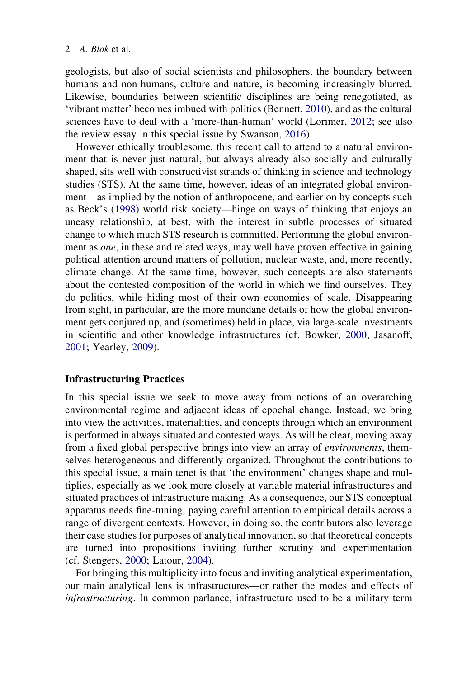geologists, but also of social scientists and philosophers, the boundary between humans and non-humans, culture and nature, is becoming increasingly blurred. Likewise, boundaries between scientific disciplines are being renegotiated, as 'vibrant matter' becomes imbued with politics (Bennett, [2010\)](#page-19-0), and as the cultural sciences have to deal with a 'more-than-human' world (Lorimer, [2012](#page-21-0); see also the review essay in this special issue by Swanson, [2016](#page-22-0)).

However ethically troublesome, this recent call to attend to a natural environment that is never just natural, but always already also socially and culturally shaped, sits well with constructivist strands of thinking in science and technology studies (STS). At the same time, however, ideas of an integrated global environment—as implied by the notion of anthropocene, and earlier on by concepts such as Beck's ([1998\)](#page-19-0) world risk society—hinge on ways of thinking that enjoys an uneasy relationship, at best, with the interest in subtle processes of situated change to which much STS research is committed. Performing the global environment as *one*, in these and related ways, may well have proven effective in gaining political attention around matters of pollution, nuclear waste, and, more recently, climate change. At the same time, however, such concepts are also statements about the contested composition of the world in which we find ourselves. They do politics, while hiding most of their own economies of scale. Disappearing from sight, in particular, are the more mundane details of how the global environment gets conjured up, and (sometimes) held in place, via large-scale investments in scientific and other knowledge infrastructures (cf. Bowker, [2000](#page-19-0); Jasanoff, [2001;](#page-20-0) Yearley, [2009\)](#page-22-0).

## Infrastructuring Practices

In this special issue we seek to move away from notions of an overarching environmental regime and adjacent ideas of epochal change. Instead, we bring into view the activities, materialities, and concepts through which an environment is performed in always situated and contested ways. As will be clear, moving away from a fixed global perspective brings into view an array of environments, themselves heterogeneous and differently organized. Throughout the contributions to this special issue, a main tenet is that 'the environment' changes shape and multiplies, especially as we look more closely at variable material infrastructures and situated practices of infrastructure making. As a consequence, our STS conceptual apparatus needs fine-tuning, paying careful attention to empirical details across a range of divergent contexts. However, in doing so, the contributors also leverage their case studies for purposes of analytical innovation, so that theoretical concepts are turned into propositions inviting further scrutiny and experimentation (cf. Stengers, [2000;](#page-22-0) Latour, [2004\)](#page-20-0).

For bringing this multiplicity into focus and inviting analytical experimentation, our main analytical lens is infrastructures—or rather the modes and effects of infrastructuring. In common parlance, infrastructure used to be a military term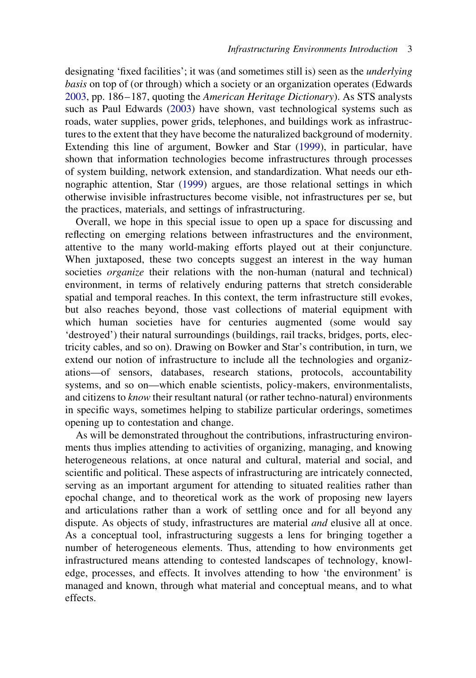designating 'fixed facilities'; it was (and sometimes still is) seen as the underlying basis on top of (or through) which a society or an organization operates (Edwards [2003,](#page-20-0) pp. 186 –187, quoting the American Heritage Dictionary). As STS analysts such as Paul Edwards ([2003\)](#page-20-0) have shown, vast technological systems such as roads, water supplies, power grids, telephones, and buildings work as infrastructures to the extent that they have become the naturalized background of modernity. Extending this line of argument, Bowker and Star ([1999\)](#page-19-0), in particular, have shown that information technologies become infrastructures through processes of system building, network extension, and standardization. What needs our ethnographic attention, Star ([1999\)](#page-22-0) argues, are those relational settings in which otherwise invisible infrastructures become visible, not infrastructures per se, but the practices, materials, and settings of infrastructuring.

Overall, we hope in this special issue to open up a space for discussing and reflecting on emerging relations between infrastructures and the environment, attentive to the many world-making efforts played out at their conjuncture. When juxtaposed, these two concepts suggest an interest in the way human societies *organize* their relations with the non-human (natural and technical) environment, in terms of relatively enduring patterns that stretch considerable spatial and temporal reaches. In this context, the term infrastructure still evokes, but also reaches beyond, those vast collections of material equipment with which human societies have for centuries augmented (some would say 'destroyed') their natural surroundings (buildings, rail tracks, bridges, ports, electricity cables, and so on). Drawing on Bowker and Star's contribution, in turn, we extend our notion of infrastructure to include all the technologies and organizations—of sensors, databases, research stations, protocols, accountability systems, and so on—which enable scientists, policy-makers, environmentalists, and citizens to know their resultant natural (or rather techno-natural) environments in specific ways, sometimes helping to stabilize particular orderings, sometimes opening up to contestation and change.

As will be demonstrated throughout the contributions, infrastructuring environments thus implies attending to activities of organizing, managing, and knowing heterogeneous relations, at once natural and cultural, material and social, and scientific and political. These aspects of infrastructuring are intricately connected, serving as an important argument for attending to situated realities rather than epochal change, and to theoretical work as the work of proposing new layers and articulations rather than a work of settling once and for all beyond any dispute. As objects of study, infrastructures are material *and* elusive all at once. As a conceptual tool, infrastructuring suggests a lens for bringing together a number of heterogeneous elements. Thus, attending to how environments get infrastructured means attending to contested landscapes of technology, knowledge, processes, and effects. It involves attending to how 'the environment' is managed and known, through what material and conceptual means, and to what effects.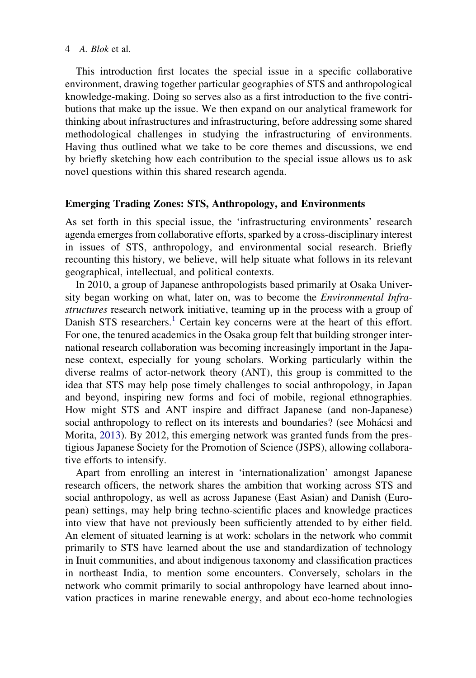This introduction first locates the special issue in a specific collaborative environment, drawing together particular geographies of STS and anthropological knowledge-making. Doing so serves also as a first introduction to the five contributions that make up the issue. We then expand on our analytical framework for thinking about infrastructures and infrastructuring, before addressing some shared methodological challenges in studying the infrastructuring of environments. Having thus outlined what we take to be core themes and discussions, we end by briefly sketching how each contribution to the special issue allows us to ask novel questions within this shared research agenda.

## Emerging Trading Zones: STS, Anthropology, and Environments

As set forth in this special issue, the 'infrastructuring environments' research agenda emerges from collaborative efforts, sparked by a cross-disciplinary interest in issues of STS, anthropology, and environmental social research. Briefly recounting this history, we believe, will help situate what follows in its relevant geographical, intellectual, and political contexts.

In 2010, a group of Japanese anthropologists based primarily at Osaka University began working on what, later on, was to become the Environmental Infrastructures research network initiative, teaming up in the process with a group of Danish STS researchers.<sup>[1](#page-18-0)</sup> Certain key concerns were at the heart of this effort. For one, the tenured academics in the Osaka group felt that building stronger international research collaboration was becoming increasingly important in the Japanese context, especially for young scholars. Working particularly within the diverse realms of actor-network theory (ANT), this group is committed to the idea that STS may help pose timely challenges to social anthropology, in Japan and beyond, inspiring new forms and foci of mobile, regional ethnographies. How might STS and ANT inspire and diffract Japanese (and non-Japanese) social anthropology to reflect on its interests and boundaries? (see Mohácsi and Morita, [2013](#page-21-0)). By 2012, this emerging network was granted funds from the prestigious Japanese Society for the Promotion of Science (JSPS), allowing collaborative efforts to intensify.

Apart from enrolling an interest in 'internationalization' amongst Japanese research officers, the network shares the ambition that working across STS and social anthropology, as well as across Japanese (East Asian) and Danish (European) settings, may help bring techno-scientific places and knowledge practices into view that have not previously been sufficiently attended to by either field. An element of situated learning is at work: scholars in the network who commit primarily to STS have learned about the use and standardization of technology in Inuit communities, and about indigenous taxonomy and classification practices in northeast India, to mention some encounters. Conversely, scholars in the network who commit primarily to social anthropology have learned about innovation practices in marine renewable energy, and about eco-home technologies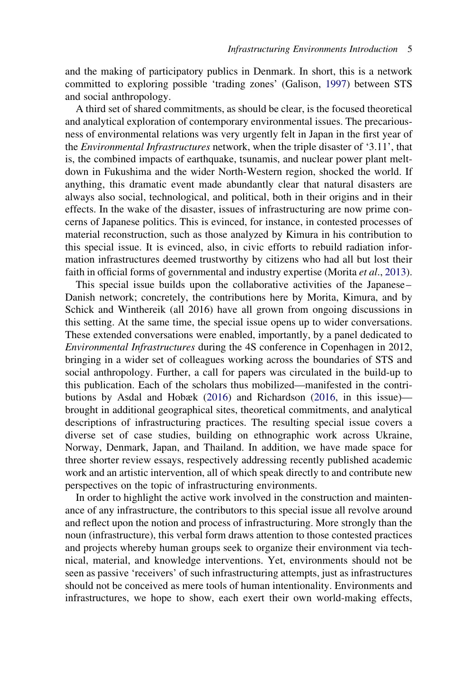and the making of participatory publics in Denmark. In short, this is a network committed to exploring possible 'trading zones' (Galison, [1997](#page-20-0)) between STS and social anthropology.

A third set of shared commitments, as should be clear, is the focused theoretical and analytical exploration of contemporary environmental issues. The precariousness of environmental relations was very urgently felt in Japan in the first year of the Environmental Infrastructures network, when the triple disaster of '3.11', that is, the combined impacts of earthquake, tsunamis, and nuclear power plant meltdown in Fukushima and the wider North-Western region, shocked the world. If anything, this dramatic event made abundantly clear that natural disasters are always also social, technological, and political, both in their origins and in their effects. In the wake of the disaster, issues of infrastructuring are now prime concerns of Japanese politics. This is evinced, for instance, in contested processes of material reconstruction, such as those analyzed by Kimura in his contribution to this special issue. It is evinced, also, in civic efforts to rebuild radiation information infrastructures deemed trustworthy by citizens who had all but lost their faith in official forms of governmental and industry expertise (Morita et al., [2013](#page-21-0)).

This special issue builds upon the collaborative activities of the Japanese – Danish network; concretely, the contributions here by Morita, Kimura, and by Schick and Winthereik (all 2016) have all grown from ongoing discussions in this setting. At the same time, the special issue opens up to wider conversations. These extended conversations were enabled, importantly, by a panel dedicated to Environmental Infrastructures during the 4S conference in Copenhagen in 2012, bringing in a wider set of colleagues working across the boundaries of STS and social anthropology. Further, a call for papers was circulated in the build-up to this publication. Each of the scholars thus mobilized—manifested in the contributions by Asdal and Hobæk [\(2016](#page-19-0)) and Richardson ([2016,](#page-21-0) in this issue) brought in additional geographical sites, theoretical commitments, and analytical descriptions of infrastructuring practices. The resulting special issue covers a diverse set of case studies, building on ethnographic work across Ukraine, Norway, Denmark, Japan, and Thailand. In addition, we have made space for three shorter review essays, respectively addressing recently published academic work and an artistic intervention, all of which speak directly to and contribute new perspectives on the topic of infrastructuring environments.

In order to highlight the active work involved in the construction and maintenance of any infrastructure, the contributors to this special issue all revolve around and reflect upon the notion and process of infrastructuring. More strongly than the noun (infrastructure), this verbal form draws attention to those contested practices and projects whereby human groups seek to organize their environment via technical, material, and knowledge interventions. Yet, environments should not be seen as passive 'receivers' of such infrastructuring attempts, just as infrastructures should not be conceived as mere tools of human intentionality. Environments and infrastructures, we hope to show, each exert their own world-making effects,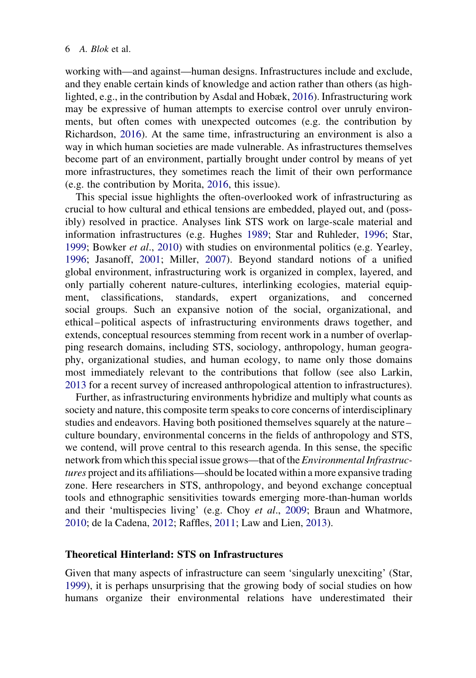working with—and against—human designs. Infrastructures include and exclude, and they enable certain kinds of knowledge and action rather than others (as highlighted, e.g., in the contribution by Asdal and Hobæk, [2016\)](#page-19-0). Infrastructuring work may be expressive of human attempts to exercise control over unruly environments, but often comes with unexpected outcomes (e.g. the contribution by Richardson, [2016](#page-21-0)). At the same time, infrastructuring an environment is also a way in which human societies are made vulnerable. As infrastructures themselves become part of an environment, partially brought under control by means of yet more infrastructures, they sometimes reach the limit of their own performance (e.g. the contribution by Morita, [2016,](#page-21-0) this issue).

This special issue highlights the often-overlooked work of infrastructuring as crucial to how cultural and ethical tensions are embedded, played out, and (possibly) resolved in practice. Analyses link STS work on large-scale material and information infrastructures (e.g. Hughes [1989;](#page-20-0) Star and Ruhleder, [1996](#page-22-0); Star, [1999;](#page-22-0) Bowker et al., [2010](#page-19-0)) with studies on environmental politics (e.g. Yearley, [1996;](#page-22-0) Jasanoff, [2001;](#page-20-0) Miller, [2007\)](#page-21-0). Beyond standard notions of a unified global environment, infrastructuring work is organized in complex, layered, and only partially coherent nature-cultures, interlinking ecologies, material equipment, classifications, standards, expert organizations, and concerned social groups. Such an expansive notion of the social, organizational, and ethical – political aspects of infrastructuring environments draws together, and extends, conceptual resources stemming from recent work in a number of overlapping research domains, including STS, sociology, anthropology, human geography, organizational studies, and human ecology, to name only those domains most immediately relevant to the contributions that follow (see also Larkin, [2013](#page-20-0) for a recent survey of increased anthropological attention to infrastructures).

Further, as infrastructuring environments hybridize and multiply what counts as society and nature, this composite term speaks to core concerns of interdisciplinary studies and endeavors. Having both positioned themselves squarely at the nature – culture boundary, environmental concerns in the fields of anthropology and STS, we contend, will prove central to this research agenda. In this sense, the specific network from which this special issue grows—that of the *Environmental Infrastruc*tures project and its affiliations—should be located within a more expansive trading zone. Here researchers in STS, anthropology, and beyond exchange conceptual tools and ethnographic sensitivities towards emerging more-than-human worlds and their 'multispecies living' (e.g. Choy et al., [2009;](#page-19-0) Braun and Whatmore, [2010;](#page-19-0) de la Cadena, [2012;](#page-19-0) Raffles, [2011](#page-21-0); Law and Lien, [2013](#page-20-0)).

#### Theoretical Hinterland: STS on Infrastructures

Given that many aspects of infrastructure can seem 'singularly unexciting' (Star, [1999\)](#page-22-0), it is perhaps unsurprising that the growing body of social studies on how humans organize their environmental relations have underestimated their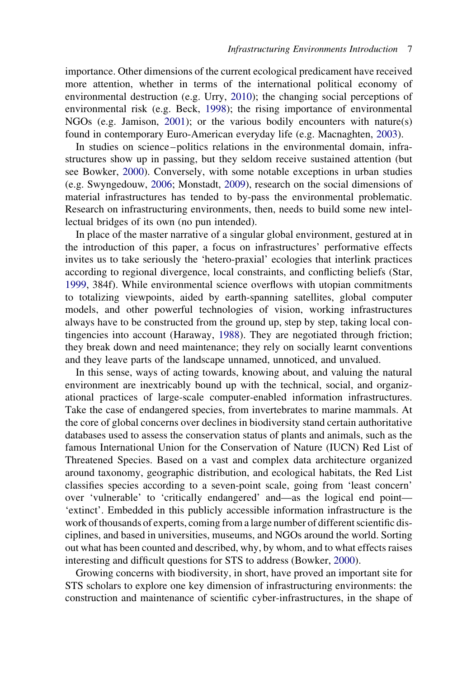importance. Other dimensions of the current ecological predicament have received more attention, whether in terms of the international political economy of environmental destruction (e.g. Urry, [2010](#page-22-0)); the changing social perceptions of environmental risk (e.g. Beck, [1998\)](#page-19-0); the rising importance of environmental NGOs (e.g. Jamison, [2001](#page-20-0)); or the various bodily encounters with nature(s) found in contemporary Euro-American everyday life (e.g. Macnaghten, [2003](#page-21-0)).

In studies on science –politics relations in the environmental domain, infrastructures show up in passing, but they seldom receive sustained attention (but see Bowker, [2000](#page-19-0)). Conversely, with some notable exceptions in urban studies (e.g. Swyngedouw, [2006](#page-22-0); Monstadt, [2009\)](#page-21-0), research on the social dimensions of material infrastructures has tended to by-pass the environmental problematic. Research on infrastructuring environments, then, needs to build some new intellectual bridges of its own (no pun intended).

In place of the master narrative of a singular global environment, gestured at in the introduction of this paper, a focus on infrastructures' performative effects invites us to take seriously the 'hetero-praxial' ecologies that interlink practices according to regional divergence, local constraints, and conflicting beliefs (Star, [1999,](#page-22-0) 384f). While environmental science overflows with utopian commitments to totalizing viewpoints, aided by earth-spanning satellites, global computer models, and other powerful technologies of vision, working infrastructures always have to be constructed from the ground up, step by step, taking local contingencies into account (Haraway, [1988](#page-20-0)). They are negotiated through friction; they break down and need maintenance; they rely on socially learnt conventions and they leave parts of the landscape unnamed, unnoticed, and unvalued.

In this sense, ways of acting towards, knowing about, and valuing the natural environment are inextricably bound up with the technical, social, and organizational practices of large-scale computer-enabled information infrastructures. Take the case of endangered species, from invertebrates to marine mammals. At the core of global concerns over declines in biodiversity stand certain authoritative databases used to assess the conservation status of plants and animals, such as the famous International Union for the Conservation of Nature (IUCN) Red List of Threatened Species. Based on a vast and complex data architecture organized around taxonomy, geographic distribution, and ecological habitats, the Red List classifies species according to a seven-point scale, going from 'least concern' over 'vulnerable' to 'critically endangered' and—as the logical end point— 'extinct'. Embedded in this publicly accessible information infrastructure is the work of thousands of experts, coming from a large number of different scientific disciplines, and based in universities, museums, and NGOs around the world. Sorting out what has been counted and described, why, by whom, and to what effects raises interesting and difficult questions for STS to address (Bowker, [2000\)](#page-19-0).

Growing concerns with biodiversity, in short, have proved an important site for STS scholars to explore one key dimension of infrastructuring environments: the construction and maintenance of scientific cyber-infrastructures, in the shape of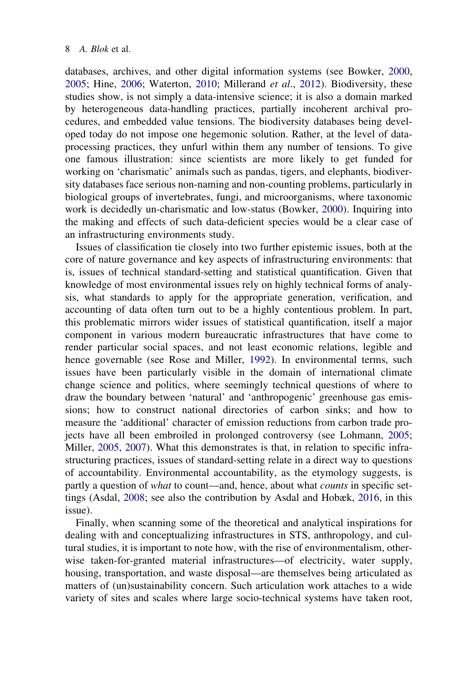databases, archives, and other digital information systems (see Bowker, [2000,](#page-19-0)  $2005$ ; Hine,  $2006$ ; Waterton,  $2010$ ; Millerand *et al.*,  $2012$ ). Biodiversity, these studies show, is not simply a data-intensive science; it is also a domain marked by heterogeneous data-handling practices, partially incoherent archival procedures, and embedded value tensions. The biodiversity databases being developed today do not impose one hegemonic solution. Rather, at the level of dataprocessing practices, they unfurl within them any number of tensions. To give one famous illustration: since scientists are more likely to get funded for working on 'charismatic' animals such as pandas, tigers, and elephants, biodiversity databases face serious non-naming and non-counting problems, particularly in biological groups of invertebrates, fungi, and microorganisms, where taxonomic work is decidedly un-charismatic and low-status (Bowker, [2000\)](#page-19-0). Inquiring into the making and effects of such data-deficient species would be a clear case of an infrastructuring environments study.

Issues of classification tie closely into two further epistemic issues, both at the core of nature governance and key aspects of infrastructuring environments: that is, issues of technical standard-setting and statistical quantification. Given that knowledge of most environmental issues rely on highly technical forms of analysis, what standards to apply for the appropriate generation, verification, and accounting of data often turn out to be a highly contentious problem. In part, this problematic mirrors wider issues of statistical quantification, itself a major component in various modern bureaucratic infrastructures that have come to render particular social spaces, and not least economic relations, legible and hence governable (see Rose and Miller, [1992\)](#page-21-0). In environmental terms, such issues have been particularly visible in the domain of international climate change science and politics, where seemingly technical questions of where to draw the boundary between 'natural' and 'anthropogenic' greenhouse gas emissions; how to construct national directories of carbon sinks; and how to measure the 'additional' character of emission reductions from carbon trade projects have all been embroiled in prolonged controversy (see Lohmann, [2005](#page-21-0); Miller, [2005](#page-21-0), [2007\)](#page-21-0). What this demonstrates is that, in relation to specific infrastructuring practices, issues of standard-setting relate in a direct way to questions of accountability. Environmental accountability, as the etymology suggests, is partly a question of *what* to count—and, hence, about what *counts* in specific settings (Asdal, [2008](#page-19-0); see also the contribution by Asdal and Hobæk, [2016](#page-19-0), in this issue).

Finally, when scanning some of the theoretical and analytical inspirations for dealing with and conceptualizing infrastructures in STS, anthropology, and cultural studies, it is important to note how, with the rise of environmentalism, otherwise taken-for-granted material infrastructures—of electricity, water supply, housing, transportation, and waste disposal—are themselves being articulated as matters of (un)sustainability concern. Such articulation work attaches to a wide variety of sites and scales where large socio-technical systems have taken root,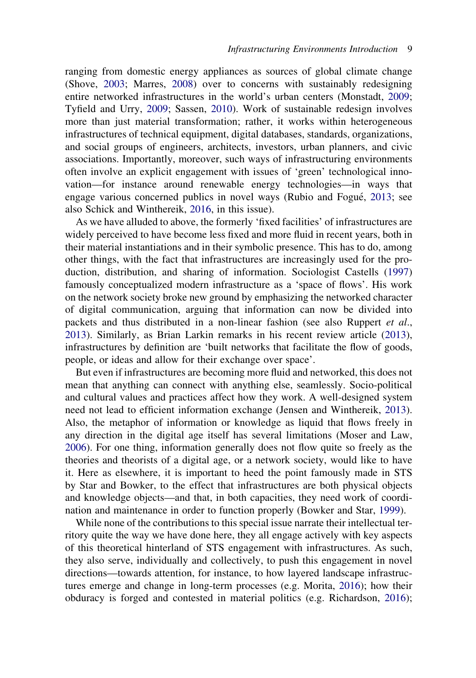ranging from domestic energy appliances as sources of global climate change (Shove, [2003](#page-22-0); Marres, [2008](#page-21-0)) over to concerns with sustainably redesigning entire networked infrastructures in the world's urban centers (Monstadt, [2009](#page-21-0); Tyfield and Urry, [2009](#page-22-0); Sassen, [2010\)](#page-22-0). Work of sustainable redesign involves more than just material transformation; rather, it works within heterogeneous infrastructures of technical equipment, digital databases, standards, organizations, and social groups of engineers, architects, investors, urban planners, and civic associations. Importantly, moreover, such ways of infrastructuring environments often involve an explicit engagement with issues of 'green' technological innovation—for instance around renewable energy technologies—in ways that engage various concerned publics in novel ways (Rubio and Fogué, [2013](#page-22-0); see also Schick and Winthereik, [2016,](#page-22-0) in this issue).

As we have alluded to above, the formerly 'fixed facilities' of infrastructures are widely perceived to have become less fixed and more fluid in recent years, both in their material instantiations and in their symbolic presence. This has to do, among other things, with the fact that infrastructures are increasingly used for the production, distribution, and sharing of information. Sociologist Castells ([1997\)](#page-19-0) famously conceptualized modern infrastructure as a 'space of flows'. His work on the network society broke new ground by emphasizing the networked character of digital communication, arguing that information can now be divided into packets and thus distributed in a non-linear fashion (see also Ruppert et al., [2013\)](#page-22-0). Similarly, as Brian Larkin remarks in his recent review article [\(2013](#page-20-0)), infrastructures by definition are 'built networks that facilitate the flow of goods, people, or ideas and allow for their exchange over space'.

But even if infrastructures are becoming more fluid and networked, this does not mean that anything can connect with anything else, seamlessly. Socio-political and cultural values and practices affect how they work. A well-designed system need not lead to efficient information exchange (Jensen and Winthereik, [2013](#page-20-0)). Also, the metaphor of information or knowledge as liquid that flows freely in any direction in the digital age itself has several limitations (Moser and Law, [2006\)](#page-21-0). For one thing, information generally does not flow quite so freely as the theories and theorists of a digital age, or a network society, would like to have it. Here as elsewhere, it is important to heed the point famously made in STS by Star and Bowker, to the effect that infrastructures are both physical objects and knowledge objects—and that, in both capacities, they need work of coordination and maintenance in order to function properly (Bowker and Star, [1999\)](#page-19-0).

While none of the contributions to this special issue narrate their intellectual territory quite the way we have done here, they all engage actively with key aspects of this theoretical hinterland of STS engagement with infrastructures. As such, they also serve, individually and collectively, to push this engagement in novel directions—towards attention, for instance, to how layered landscape infrastructures emerge and change in long-term processes (e.g. Morita, [2016\)](#page-21-0); how their obduracy is forged and contested in material politics (e.g. Richardson, [2016\)](#page-21-0);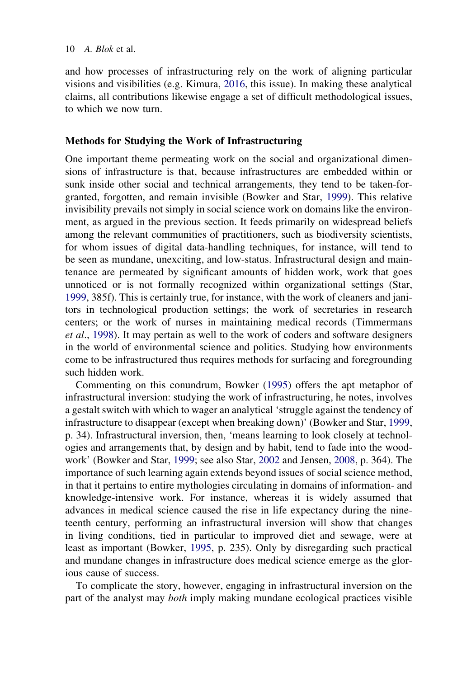and how processes of infrastructuring rely on the work of aligning particular visions and visibilities (e.g. Kimura, [2016](#page-20-0), this issue). In making these analytical claims, all contributions likewise engage a set of difficult methodological issues, to which we now turn.

## Methods for Studying the Work of Infrastructuring

One important theme permeating work on the social and organizational dimensions of infrastructure is that, because infrastructures are embedded within or sunk inside other social and technical arrangements, they tend to be taken-forgranted, forgotten, and remain invisible (Bowker and Star, [1999](#page-19-0)). This relative invisibility prevails not simply in social science work on domains like the environment, as argued in the previous section. It feeds primarily on widespread beliefs among the relevant communities of practitioners, such as biodiversity scientists, for whom issues of digital data-handling techniques, for instance, will tend to be seen as mundane, unexciting, and low-status. Infrastructural design and maintenance are permeated by significant amounts of hidden work, work that goes unnoticed or is not formally recognized within organizational settings (Star, [1999,](#page-22-0) 385f). This is certainly true, for instance, with the work of cleaners and janitors in technological production settings; the work of secretaries in research centers; or the work of nurses in maintaining medical records (Timmermans et al., [1998\)](#page-22-0). It may pertain as well to the work of coders and software designers in the world of environmental science and politics. Studying how environments come to be infrastructured thus requires methods for surfacing and foregrounding such hidden work.

Commenting on this conundrum, Bowker [\(1995](#page-19-0)) offers the apt metaphor of infrastructural inversion: studying the work of infrastructuring, he notes, involves a gestalt switch with which to wager an analytical 'struggle against the tendency of infrastructure to disappear (except when breaking down)' (Bowker and Star, [1999,](#page-19-0) p. 34). Infrastructural inversion, then, 'means learning to look closely at technologies and arrangements that, by design and by habit, tend to fade into the woodwork' (Bowker and Star, [1999;](#page-19-0) see also Star, [2002](#page-22-0) and Jensen, [2008](#page-20-0), p. 364). The importance of such learning again extends beyond issues of social science method, in that it pertains to entire mythologies circulating in domains of information- and knowledge-intensive work. For instance, whereas it is widely assumed that advances in medical science caused the rise in life expectancy during the nineteenth century, performing an infrastructural inversion will show that changes in living conditions, tied in particular to improved diet and sewage, were at least as important (Bowker, [1995](#page-19-0), p. 235). Only by disregarding such practical and mundane changes in infrastructure does medical science emerge as the glorious cause of success.

To complicate the story, however, engaging in infrastructural inversion on the part of the analyst may both imply making mundane ecological practices visible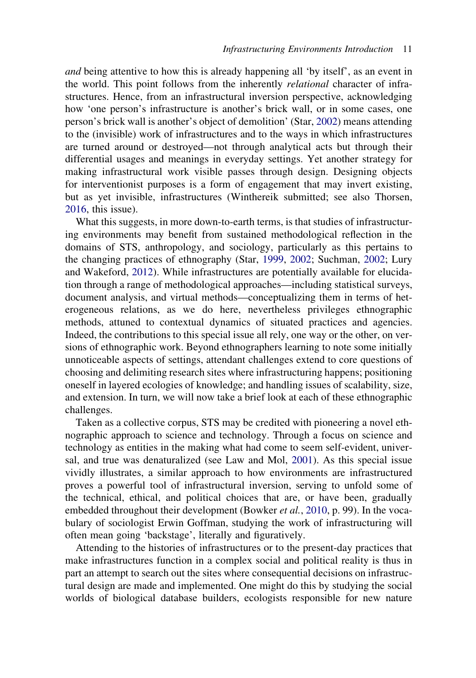and being attentive to how this is already happening all 'by itself', as an event in the world. This point follows from the inherently *relational* character of infrastructures. Hence, from an infrastructural inversion perspective, acknowledging how 'one person's infrastructure is another's brick wall, or in some cases, one person's brick wall is another's object of demolition' (Star, [2002\)](#page-22-0) means attending to the (invisible) work of infrastructures and to the ways in which infrastructures are turned around or destroyed—not through analytical acts but through their differential usages and meanings in everyday settings. Yet another strategy for making infrastructural work visible passes through design. Designing objects for interventionist purposes is a form of engagement that may invert existing, but as yet invisible, infrastructures (Winthereik submitted; see also Thorsen, [2016,](#page-22-0) this issue).

What this suggests, in more down-to-earth terms, is that studies of infrastructuring environments may benefit from sustained methodological reflection in the domains of STS, anthropology, and sociology, particularly as this pertains to the changing practices of ethnography (Star, [1999](#page-22-0), [2002;](#page-22-0) Suchman, [2002](#page-22-0); Lury and Wakeford, [2012\)](#page-21-0). While infrastructures are potentially available for elucidation through a range of methodological approaches—including statistical surveys, document analysis, and virtual methods—conceptualizing them in terms of heterogeneous relations, as we do here, nevertheless privileges ethnographic methods, attuned to contextual dynamics of situated practices and agencies. Indeed, the contributions to this special issue all rely, one way or the other, on versions of ethnographic work. Beyond ethnographers learning to note some initially unnoticeable aspects of settings, attendant challenges extend to core questions of choosing and delimiting research sites where infrastructuring happens; positioning oneself in layered ecologies of knowledge; and handling issues of scalability, size, and extension. In turn, we will now take a brief look at each of these ethnographic challenges.

Taken as a collective corpus, STS may be credited with pioneering a novel ethnographic approach to science and technology. Through a focus on science and technology as entities in the making what had come to seem self-evident, universal, and true was denaturalized (see Law and Mol, [2001](#page-20-0)). As this special issue vividly illustrates, a similar approach to how environments are infrastructured proves a powerful tool of infrastructural inversion, serving to unfold some of the technical, ethical, and political choices that are, or have been, gradually embedded throughout their development (Bowker et al., [2010](#page-19-0), p. 99). In the vocabulary of sociologist Erwin Goffman, studying the work of infrastructuring will often mean going 'backstage', literally and figuratively.

Attending to the histories of infrastructures or to the present-day practices that make infrastructures function in a complex social and political reality is thus in part an attempt to search out the sites where consequential decisions on infrastructural design are made and implemented. One might do this by studying the social worlds of biological database builders, ecologists responsible for new nature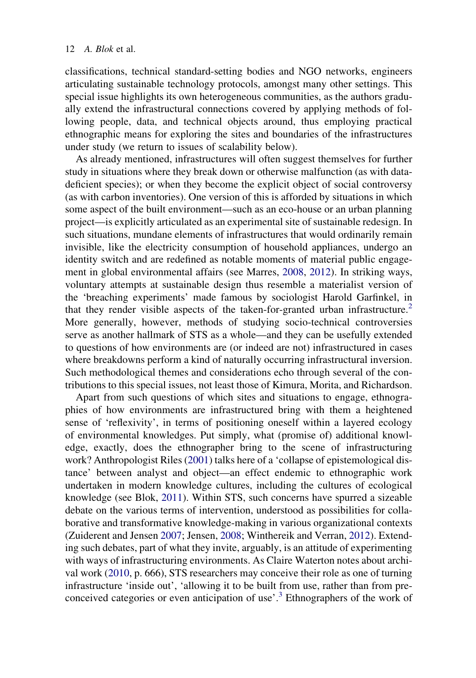classifications, technical standard-setting bodies and NGO networks, engineers articulating sustainable technology protocols, amongst many other settings. This special issue highlights its own heterogeneous communities, as the authors gradually extend the infrastructural connections covered by applying methods of following people, data, and technical objects around, thus employing practical ethnographic means for exploring the sites and boundaries of the infrastructures under study (we return to issues of scalability below).

As already mentioned, infrastructures will often suggest themselves for further study in situations where they break down or otherwise malfunction (as with datadeficient species); or when they become the explicit object of social controversy (as with carbon inventories). One version of this is afforded by situations in which some aspect of the built environment—such as an eco-house or an urban planning project—is explicitly articulated as an experimental site of sustainable redesign. In such situations, mundane elements of infrastructures that would ordinarily remain invisible, like the electricity consumption of household appliances, undergo an identity switch and are redefined as notable moments of material public engagement in global environmental affairs (see Marres, [2008,](#page-21-0) [2012\)](#page-21-0). In striking ways, voluntary attempts at sustainable design thus resemble a materialist version of the 'breaching experiments' made famous by sociologist Harold Garfinkel, in that they render visible aspects of the taken-for-granted urban infrastructure.<sup>[2](#page-18-0)</sup> More generally, however, methods of studying socio-technical controversies serve as another hallmark of STS as a whole—and they can be usefully extended to questions of how environments are (or indeed are not) infrastructured in cases where breakdowns perform a kind of naturally occurring infrastructural inversion. Such methodological themes and considerations echo through several of the contributions to this special issues, not least those of Kimura, Morita, and Richardson.

Apart from such questions of which sites and situations to engage, ethnographies of how environments are infrastructured bring with them a heightened sense of 'reflexivity', in terms of positioning oneself within a layered ecology of environmental knowledges. Put simply, what (promise of) additional knowledge, exactly, does the ethnographer bring to the scene of infrastructuring work? Anthropologist Riles ([2001\)](#page-21-0) talks here of a 'collapse of epistemological distance' between analyst and object—an effect endemic to ethnographic work undertaken in modern knowledge cultures, including the cultures of ecological knowledge (see Blok, [2011](#page-19-0)). Within STS, such concerns have spurred a sizeable debate on the various terms of intervention, understood as possibilities for collaborative and transformative knowledge-making in various organizational contexts (Zuiderent and Jensen [2007;](#page-22-0) Jensen, [2008](#page-20-0); Winthereik and Verran, [2012\)](#page-22-0). Extending such debates, part of what they invite, arguably, is an attitude of experimenting with ways of infrastructuring environments. As Claire Waterton notes about archival work [\(2010](#page-22-0), p. 666), STS researchers may conceive their role as one of turning infrastructure 'inside out', 'allowing it to be built from use, rather than from pre-conceived categories or even anticipation of use'.<sup>[3](#page-18-0)</sup> Ethnographers of the work of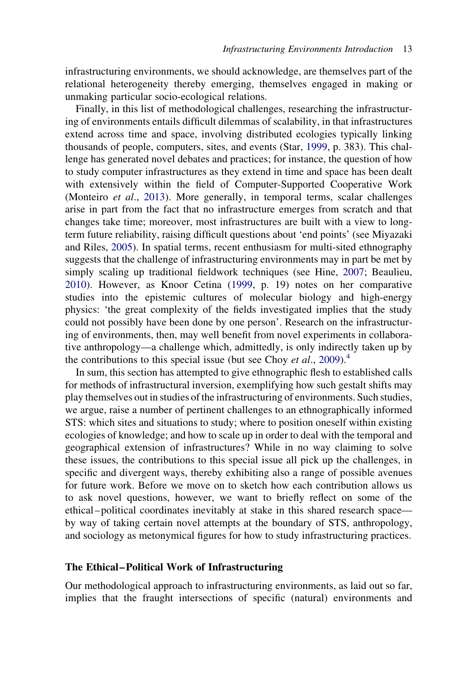infrastructuring environments, we should acknowledge, are themselves part of the relational heterogeneity thereby emerging, themselves engaged in making or unmaking particular socio-ecological relations.

Finally, in this list of methodological challenges, researching the infrastructuring of environments entails difficult dilemmas of scalability, in that infrastructures extend across time and space, involving distributed ecologies typically linking thousands of people, computers, sites, and events (Star, [1999](#page-22-0), p. 383). This challenge has generated novel debates and practices; for instance, the question of how to study computer infrastructures as they extend in time and space has been dealt with extensively within the field of Computer-Supported Cooperative Work (Monteiro et al., [2013](#page-21-0)). More generally, in temporal terms, scalar challenges arise in part from the fact that no infrastructure emerges from scratch and that changes take time; moreover, most infrastructures are built with a view to longterm future reliability, raising difficult questions about 'end points' (see Miyazaki and Riles, [2005](#page-21-0)). In spatial terms, recent enthusiasm for multi-sited ethnography suggests that the challenge of infrastructuring environments may in part be met by simply scaling up traditional fieldwork techniques (see Hine, [2007;](#page-20-0) Beaulieu, [2010\)](#page-19-0). However, as Knoor Cetina ([1999,](#page-20-0) p. 19) notes on her comparative studies into the epistemic cultures of molecular biology and high-energy physics: 'the great complexity of the fields investigated implies that the study could not possibly have been done by one person'. Research on the infrastructuring of environments, then, may well benefit from novel experiments in collaborative anthropology—a challenge which, admittedly, is only indirectly taken up by the contributions to this special issue (but see Choy *et al.*, [2009\)](#page-19-0).<sup>[4](#page-19-0)</sup>

In sum, this section has attempted to give ethnographic flesh to established calls for methods of infrastructural inversion, exemplifying how such gestalt shifts may play themselves out in studies of the infrastructuring of environments. Such studies, we argue, raise a number of pertinent challenges to an ethnographically informed STS: which sites and situations to study; where to position oneself within existing ecologies of knowledge; and how to scale up in order to deal with the temporal and geographical extension of infrastructures? While in no way claiming to solve these issues, the contributions to this special issue all pick up the challenges, in specific and divergent ways, thereby exhibiting also a range of possible avenues for future work. Before we move on to sketch how each contribution allows us to ask novel questions, however, we want to briefly reflect on some of the ethical – political coordinates inevitably at stake in this shared research space by way of taking certain novel attempts at the boundary of STS, anthropology, and sociology as metonymical figures for how to study infrastructuring practices.

#### The Ethical–Political Work of Infrastructuring

Our methodological approach to infrastructuring environments, as laid out so far, implies that the fraught intersections of specific (natural) environments and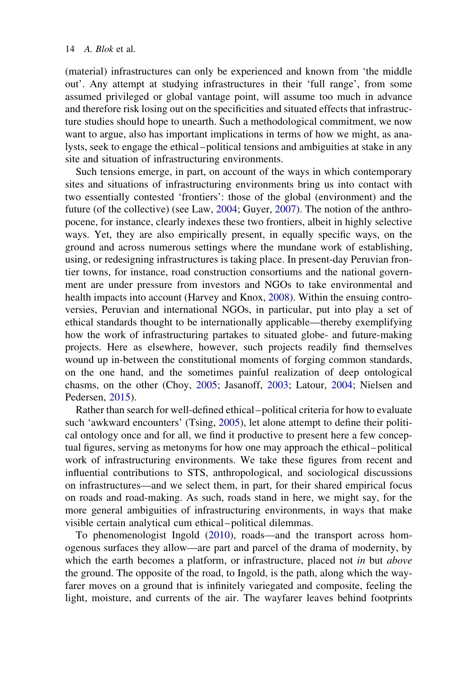(material) infrastructures can only be experienced and known from 'the middle out'. Any attempt at studying infrastructures in their 'full range', from some assumed privileged or global vantage point, will assume too much in advance and therefore risk losing out on the specificities and situated effects that infrastructure studies should hope to unearth. Such a methodological commitment, we now want to argue, also has important implications in terms of how we might, as analysts, seek to engage the ethical –political tensions and ambiguities at stake in any site and situation of infrastructuring environments.

Such tensions emerge, in part, on account of the ways in which contemporary sites and situations of infrastructuring environments bring us into contact with two essentially contested 'frontiers': those of the global (environment) and the future (of the collective) (see Law, [2004](#page-20-0); Guyer, [2007](#page-20-0)). The notion of the anthropocene, for instance, clearly indexes these two frontiers, albeit in highly selective ways. Yet, they are also empirically present, in equally specific ways, on the ground and across numerous settings where the mundane work of establishing, using, or redesigning infrastructures is taking place. In present-day Peruvian frontier towns, for instance, road construction consortiums and the national government are under pressure from investors and NGOs to take environmental and health impacts into account (Harvey and Knox, [2008](#page-20-0)). Within the ensuing controversies, Peruvian and international NGOs, in particular, put into play a set of ethical standards thought to be internationally applicable—thereby exemplifying how the work of infrastructuring partakes to situated globe- and future-making projects. Here as elsewhere, however, such projects readily find themselves wound up in-between the constitutional moments of forging common standards, on the one hand, and the sometimes painful realization of deep ontological chasms, on the other (Choy, [2005](#page-19-0); Jasanoff, [2003](#page-20-0); Latour, [2004;](#page-20-0) Nielsen and Pedersen, [2015](#page-21-0)).

Rather than search for well-defined ethical –political criteria for how to evaluate such 'awkward encounters' (Tsing, [2005\)](#page-22-0), let alone attempt to define their political ontology once and for all, we find it productive to present here a few conceptual figures, serving as metonyms for how one may approach the ethical – political work of infrastructuring environments. We take these figures from recent and influential contributions to STS, anthropological, and sociological discussions on infrastructures—and we select them, in part, for their shared empirical focus on roads and road-making. As such, roads stand in here, we might say, for the more general ambiguities of infrastructuring environments, in ways that make visible certain analytical cum ethical– political dilemmas.

To phenomenologist Ingold [\(2010](#page-20-0)), roads—and the transport across homogenous surfaces they allow—are part and parcel of the drama of modernity, by which the earth becomes a platform, or infrastructure, placed not in but above the ground. The opposite of the road, to Ingold, is the path, along which the wayfarer moves on a ground that is infinitely variegated and composite, feeling the light, moisture, and currents of the air. The wayfarer leaves behind footprints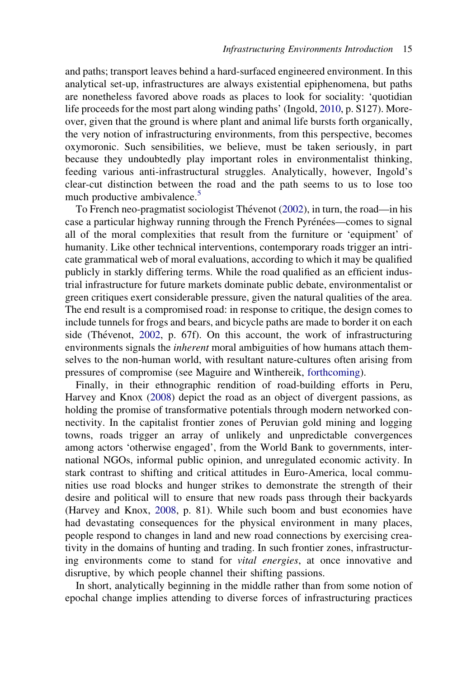and paths; transport leaves behind a hard-surfaced engineered environment. In this analytical set-up, infrastructures are always existential epiphenomena, but paths are nonetheless favored above roads as places to look for sociality: 'quotidian life proceeds for the most part along winding paths' (Ingold, [2010](#page-20-0), p. S127). Moreover, given that the ground is where plant and animal life bursts forth organically, the very notion of infrastructuring environments, from this perspective, becomes oxymoronic. Such sensibilities, we believe, must be taken seriously, in part because they undoubtedly play important roles in environmentalist thinking, feeding various anti-infrastructural struggles. Analytically, however, Ingold's clear-cut distinction between the road and the path seems to us to lose too much productive ambivalence.<sup>[5](#page-19-0)</sup>

To French neo-pragmatist sociologist Thévenot ([2002\)](#page-22-0), in turn, the road—in his case a particular highway running through the French Pyrénées—comes to signal all of the moral complexities that result from the furniture or 'equipment' of humanity. Like other technical interventions, contemporary roads trigger an intricate grammatical web of moral evaluations, according to which it may be qualified publicly in starkly differing terms. While the road qualified as an efficient industrial infrastructure for future markets dominate public debate, environmentalist or green critiques exert considerable pressure, given the natural qualities of the area. The end result is a compromised road: in response to critique, the design comes to include tunnels for frogs and bears, and bicycle paths are made to border it on each side (Thévenot,  $2002$ , p. 67f). On this account, the work of infrastructuring environments signals the *inherent* moral ambiguities of how humans attach themselves to the non-human world, with resultant nature-cultures often arising from pressures of compromise (see Maguire and Winthereik, [forthcoming](#page-21-0)).

Finally, in their ethnographic rendition of road-building efforts in Peru, Harvey and Knox ([2008\)](#page-20-0) depict the road as an object of divergent passions, as holding the promise of transformative potentials through modern networked connectivity. In the capitalist frontier zones of Peruvian gold mining and logging towns, roads trigger an array of unlikely and unpredictable convergences among actors 'otherwise engaged', from the World Bank to governments, international NGOs, informal public opinion, and unregulated economic activity. In stark contrast to shifting and critical attitudes in Euro-America, local communities use road blocks and hunger strikes to demonstrate the strength of their desire and political will to ensure that new roads pass through their backyards (Harvey and Knox, [2008,](#page-20-0) p. 81). While such boom and bust economies have had devastating consequences for the physical environment in many places, people respond to changes in land and new road connections by exercising creativity in the domains of hunting and trading. In such frontier zones, infrastructuring environments come to stand for vital energies, at once innovative and disruptive, by which people channel their shifting passions.

In short, analytically beginning in the middle rather than from some notion of epochal change implies attending to diverse forces of infrastructuring practices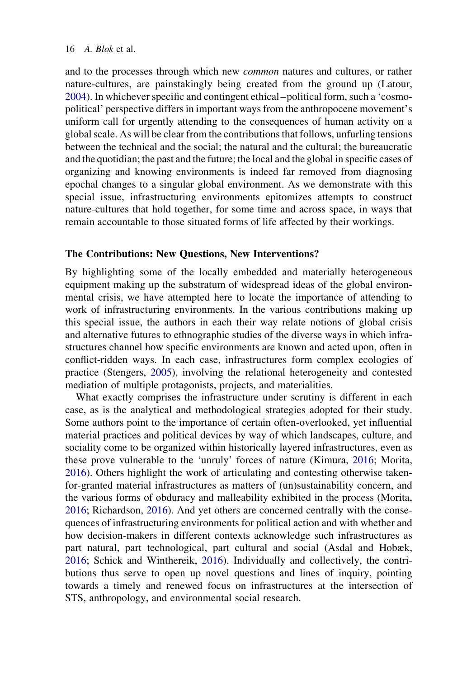and to the processes through which new common natures and cultures, or rather nature-cultures, are painstakingly being created from the ground up (Latour, [2004\)](#page-20-0). In whichever specific and contingent ethical– political form, such a 'cosmopolitical' perspective differs in important ways from the anthropocene movement's uniform call for urgently attending to the consequences of human activity on a global scale. As will be clear from the contributions that follows, unfurling tensions between the technical and the social; the natural and the cultural; the bureaucratic and the quotidian; the past and the future; the local and the global in specific cases of organizing and knowing environments is indeed far removed from diagnosing epochal changes to a singular global environment. As we demonstrate with this special issue, infrastructuring environments epitomizes attempts to construct nature-cultures that hold together, for some time and across space, in ways that remain accountable to those situated forms of life affected by their workings.

## The Contributions: New Questions, New Interventions?

By highlighting some of the locally embedded and materially heterogeneous equipment making up the substratum of widespread ideas of the global environmental crisis, we have attempted here to locate the importance of attending to work of infrastructuring environments. In the various contributions making up this special issue, the authors in each their way relate notions of global crisis and alternative futures to ethnographic studies of the diverse ways in which infrastructures channel how specific environments are known and acted upon, often in conflict-ridden ways. In each case, infrastructures form complex ecologies of practice (Stengers, [2005](#page-22-0)), involving the relational heterogeneity and contested mediation of multiple protagonists, projects, and materialities.

What exactly comprises the infrastructure under scrutiny is different in each case, as is the analytical and methodological strategies adopted for their study. Some authors point to the importance of certain often-overlooked, yet influential material practices and political devices by way of which landscapes, culture, and sociality come to be organized within historically layered infrastructures, even as these prove vulnerable to the 'unruly' forces of nature (Kimura, [2016](#page-20-0); Morita, [2016\)](#page-21-0). Others highlight the work of articulating and contesting otherwise takenfor-granted material infrastructures as matters of (un)sustainability concern, and the various forms of obduracy and malleability exhibited in the process (Morita, [2016;](#page-21-0) Richardson, [2016\)](#page-21-0). And yet others are concerned centrally with the consequences of infrastructuring environments for political action and with whether and how decision-makers in different contexts acknowledge such infrastructures as part natural, part technological, part cultural and social (Asdal and Hobæk, [2016;](#page-19-0) Schick and Winthereik, [2016](#page-22-0)). Individually and collectively, the contributions thus serve to open up novel questions and lines of inquiry, pointing towards a timely and renewed focus on infrastructures at the intersection of STS, anthropology, and environmental social research.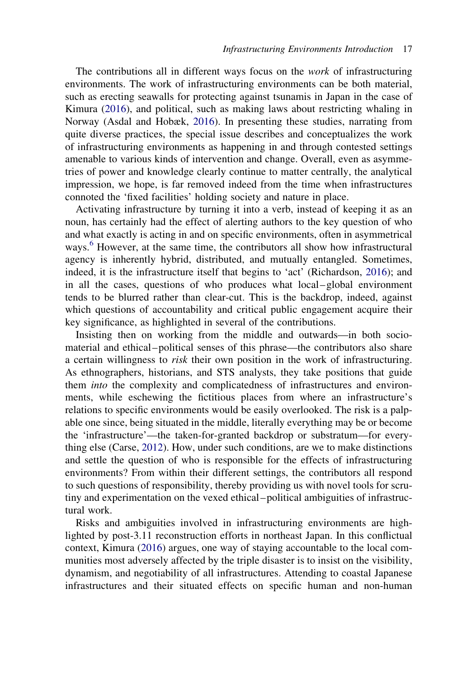The contributions all in different ways focus on the work of infrastructuring environments. The work of infrastructuring environments can be both material, such as erecting seawalls for protecting against tsunamis in Japan in the case of Kimura ([2016\)](#page-20-0), and political, such as making laws about restricting whaling in Norway (Asdal and Hobæk, [2016](#page-19-0)). In presenting these studies, narrating from quite diverse practices, the special issue describes and conceptualizes the work of infrastructuring environments as happening in and through contested settings amenable to various kinds of intervention and change. Overall, even as asymmetries of power and knowledge clearly continue to matter centrally, the analytical impression, we hope, is far removed indeed from the time when infrastructures connoted the 'fixed facilities' holding society and nature in place.

Activating infrastructure by turning it into a verb, instead of keeping it as an noun, has certainly had the effect of alerting authors to the key question of who and what exactly is acting in and on specific environments, often in asymmetrical ways.<sup>[6](#page-19-0)</sup> However, at the same time, the contributors all show how infrastructural agency is inherently hybrid, distributed, and mutually entangled. Sometimes, indeed, it is the infrastructure itself that begins to 'act' (Richardson, [2016](#page-21-0)); and in all the cases, questions of who produces what local – global environment tends to be blurred rather than clear-cut. This is the backdrop, indeed, against which questions of accountability and critical public engagement acquire their key significance, as highlighted in several of the contributions.

Insisting then on working from the middle and outwards—in both sociomaterial and ethical –political senses of this phrase—the contributors also share a certain willingness to risk their own position in the work of infrastructuring. As ethnographers, historians, and STS analysts, they take positions that guide them *into* the complexity and complicatedness of infrastructures and environments, while eschewing the fictitious places from where an infrastructure's relations to specific environments would be easily overlooked. The risk is a palpable one since, being situated in the middle, literally everything may be or become the 'infrastructure'—the taken-for-granted backdrop or substratum—for everything else (Carse, [2012](#page-19-0)). How, under such conditions, are we to make distinctions and settle the question of who is responsible for the effects of infrastructuring environments? From within their different settings, the contributors all respond to such questions of responsibility, thereby providing us with novel tools for scrutiny and experimentation on the vexed ethical –political ambiguities of infrastructural work.

Risks and ambiguities involved in infrastructuring environments are highlighted by post-3.11 reconstruction efforts in northeast Japan. In this conflictual context, Kimura [\(2016](#page-20-0)) argues, one way of staying accountable to the local communities most adversely affected by the triple disaster is to insist on the visibility, dynamism, and negotiability of all infrastructures. Attending to coastal Japanese infrastructures and their situated effects on specific human and non-human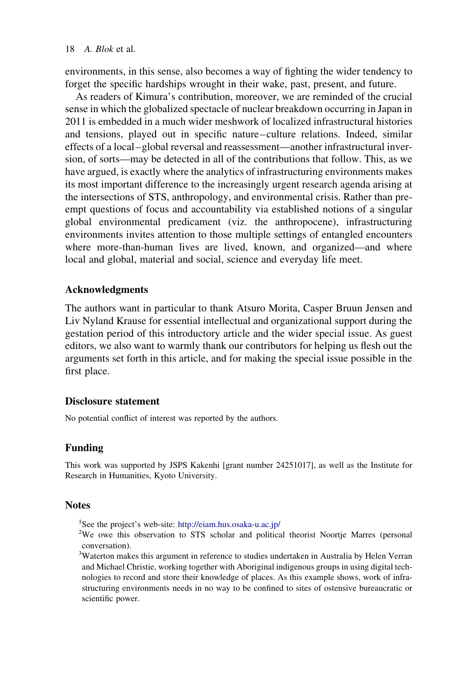<span id="page-18-0"></span>environments, in this sense, also becomes a way of fighting the wider tendency to forget the specific hardships wrought in their wake, past, present, and future.

As readers of Kimura's contribution, moreover, we are reminded of the crucial sense in which the globalized spectacle of nuclear breakdown occurring in Japan in 2011 is embedded in a much wider meshwork of localized infrastructural histories and tensions, played out in specific nature–culture relations. Indeed, similar effects of a local –global reversal and reassessment—another infrastructural inversion, of sorts—may be detected in all of the contributions that follow. This, as we have argued, is exactly where the analytics of infrastructuring environments makes its most important difference to the increasingly urgent research agenda arising at the intersections of STS, anthropology, and environmental crisis. Rather than preempt questions of focus and accountability via established notions of a singular global environmental predicament (viz. the anthropocene), infrastructuring environments invites attention to those multiple settings of entangled encounters where more-than-human lives are lived, known, and organized—and where local and global, material and social, science and everyday life meet.

## Acknowledgments

The authors want in particular to thank Atsuro Morita, Casper Bruun Jensen and Liv Nyland Krause for essential intellectual and organizational support during the gestation period of this introductory article and the wider special issue. As guest editors, we also want to warmly thank our contributors for helping us flesh out the arguments set forth in this article, and for making the special issue possible in the first place.

## Disclosure statement

No potential conflict of interest was reported by the authors.

## Funding

This work was supported by JSPS Kakenhi [grant number 24251017], as well as the Institute for Research in Humanities, Kyoto University.

#### **Notes**

<sup>1</sup>See the project's web-site: <http://eiam.hus.osaka-u.ac.jp/> $2W_e$  owe this observation to STS scholar and politics

<sup>2</sup>We owe this observation to STS scholar and political theorist Noortje Marres (personal conversation).

<sup>3</sup>Waterton makes this argument in reference to studies undertaken in Australia by Helen Verran and Michael Christie, working together with Aboriginal indigenous groups in using digital technologies to record and store their knowledge of places. As this example shows, work of infrastructuring environments needs in no way to be confined to sites of ostensive bureaucratic or scientific power.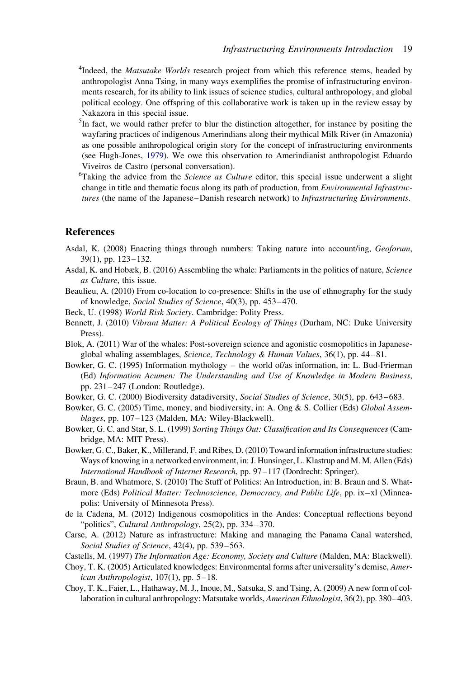- <span id="page-19-0"></span><sup>4</sup>Indeed, the Matsutake Worlds research project from which this reference stems, headed by anthropologist Anna Tsing, in many ways exemplifies the promise of infrastructuring environments research, for its ability to link issues of science studies, cultural anthropology, and global political ecology. One offspring of this collaborative work is taken up in the review essay by Nakazora in this special issue.
- <sup>5</sup>In fact, we would rather prefer to blur the distinction altogether, for instance by positing the wayfaring practices of indigenous Amerindians along their mythical Milk River (in Amazonia) as one possible anthropological origin story for the concept of infrastructuring environments (see Hugh-Jones, [1979\)](#page-20-0). We owe this observation to Amerindianist anthropologist Eduardo Viveiros de Castro (personal conversation).
- ${}^{6}$ Taking the advice from the *Science as Culture* editor, this special issue underwent a slight change in title and thematic focus along its path of production, from Environmental Infrastructures (the name of the Japanese–Danish research network) to Infrastructuring Environments.

#### **References**

- Asdal, K. (2008) Enacting things through numbers: Taking nature into account/ing, Geoforum,  $39(1)$ , pp.  $123 - 132$ .
- Asdal, K. and Hobæk, B. (2016) Assembling the whale: Parliaments in the politics of nature, Science as Culture, this issue.
- Beaulieu, A. (2010) From co-location to co-presence: Shifts in the use of ethnography for the study of knowledge, Social Studies of Science, 40(3), pp. 453– 470.
- Beck, U. (1998) World Risk Society. Cambridge: Polity Press.
- Bennett, J. (2010) Vibrant Matter: A Political Ecology of Things (Durham, NC: Duke University Press).
- Blok, A. (2011) War of the whales: Post-sovereign science and agonistic cosmopolitics in Japaneseglobal whaling assemblages, *Science*, Technology & Human Values,  $36(1)$ , pp.  $44-81$ .
- Bowker, G. C. (1995) Information mythology the world of/as information, in: L. Bud-Frierman (Ed) Information Acumen: The Understanding and Use of Knowledge in Modern Business, pp. 231 –247 (London: Routledge).
- Bowker, G. C. (2000) Biodiversity datadiversity, Social Studies of Science, 30(5), pp. 643–683.
- Bowker, G. C. (2005) Time, money, and biodiversity, in: A. Ong & S. Collier (Eds) Global Assemblages, pp. 107–123 (Malden, MA: Wiley-Blackwell).
- Bowker, G. C. and Star, S. L. (1999) Sorting Things Out: Classification and Its Consequences (Cambridge, MA: MIT Press).
- Bowker, G. C., Baker, K., Millerand, F. and Ribes, D. (2010) Toward information infrastructure studies: Ways of knowing in a networked environment, in: J. Hunsinger, L. Klastrup and M. M. Allen (Eds) International Handbook of Internet Research, pp. 97–117 (Dordrecht: Springer).
- Braun, B. and Whatmore, S. (2010) The Stuff of Politics: An Introduction, in: B. Braun and S. Whatmore (Eds) Political Matter: Technoscience, Democracy, and Public Life, pp. ix-xl (Minneapolis: University of Minnesota Press).
- de la Cadena, M. (2012) Indigenous cosmopolitics in the Andes: Conceptual reflections beyond "politics", Cultural Anthropology, 25(2), pp. 334-370.
- Carse, A. (2012) Nature as infrastructure: Making and managing the Panama Canal watershed, Social Studies of Science, 42(4), pp. 539–563.
- Castells, M. (1997) The Information Age: Economy, Society and Culture (Malden, MA: Blackwell).
- Choy, T. K. (2005) Articulated knowledges: Environmental forms after universality's demise, American Anthropologist,  $107(1)$ , pp. 5–18.
- Choy, T. K., Faier, L., Hathaway, M. J., Inoue, M., Satsuka, S. and Tsing, A. (2009) A new form of collaboration in cultural anthropology: Matsutake worlds, American Ethnologist, 36(2), pp. 380–403.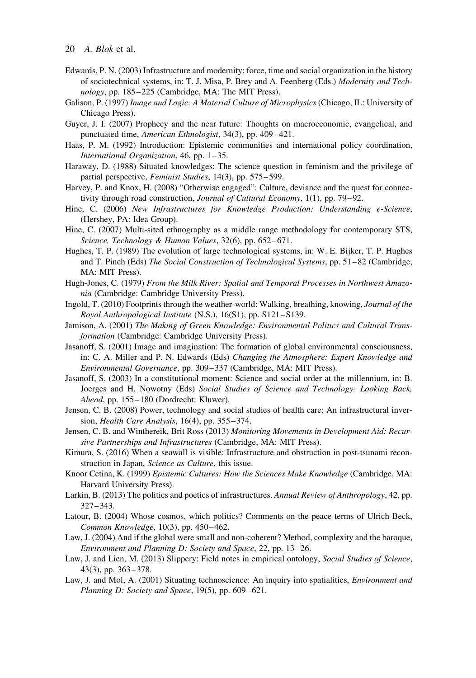- <span id="page-20-0"></span>Edwards, P. N. (2003) Infrastructure and modernity: force, time and social organization in the history of sociotechnical systems, in: T. J. Misa, P. Brey and A. Feenberg (Eds.) Modernity and Technology, pp. 185–225 (Cambridge, MA: The MIT Press).
- Galison, P. (1997) Image and Logic: A Material Culture of Microphysics (Chicago, IL: University of Chicago Press).
- Guyer, J. I. (2007) Prophecy and the near future: Thoughts on macroeconomic, evangelical, and punctuated time, American Ethnologist, 34(3), pp. 409 –421.
- Haas, P. M. (1992) Introduction: Epistemic communities and international policy coordination, International Organization, 46, pp. 1 –35.
- Haraway, D. (1988) Situated knowledges: The science question in feminism and the privilege of partial perspective, Feminist Studies, 14(3), pp. 575–599.
- Harvey, P. and Knox, H. (2008) "Otherwise engaged": Culture, deviance and the quest for connectivity through road construction, *Journal of Cultural Economy*, 1(1), pp. 79–92.
- Hine, C. (2006) New Infrastructures for Knowledge Production: Understanding e-Science, (Hershey, PA: Idea Group).
- Hine, C. (2007) Multi-sited ethnography as a middle range methodology for contemporary STS, Science, Technology & Human Values, 32(6), pp. 652–671.
- Hughes, T. P. (1989) The evolution of large technological systems, in: W. E. Bijker, T. P. Hughes and T. Pinch (Eds) The Social Construction of Technological Systems, pp. 51-82 (Cambridge, MA: MIT Press).
- Hugh-Jones, C. (1979) From the Milk River: Spatial and Temporal Processes in Northwest Amazonia (Cambridge: Cambridge University Press).
- Ingold, T. (2010) Footprints through the weather-world: Walking, breathing, knowing, Journal of the Royal Anthropological Institute (N.S.), 16(S1), pp. S121–S139.
- Jamison, A. (2001) The Making of Green Knowledge: Environmental Politics and Cultural Transformation (Cambridge: Cambridge University Press).
- Jasanoff, S. (2001) Image and imagination: The formation of global environmental consciousness, in: C. A. Miller and P. N. Edwards (Eds) Changing the Atmosphere: Expert Knowledge and Environmental Governance, pp. 309 –337 (Cambridge, MA: MIT Press).
- Jasanoff, S. (2003) In a constitutional moment: Science and social order at the millennium, in: B. Joerges and H. Nowotny (Eds) Social Studies of Science and Technology: Looking Back, Ahead, pp. 155-180 (Dordrecht: Kluwer).
- Jensen, C. B. (2008) Power, technology and social studies of health care: An infrastructural inversion, *Health Care Analysis*, 16(4), pp. 355-374.
- Jensen, C. B. and Winthereik, Brit Ross (2013) Monitoring Movements in Development Aid: Recursive Partnerships and Infrastructures (Cambridge, MA: MIT Press).
- Kimura, S. (2016) When a seawall is visible: Infrastructure and obstruction in post-tsunami reconstruction in Japan, Science as Culture, this issue.
- Knoor Cetina, K. (1999) Epistemic Cultures: How the Sciences Make Knowledge (Cambridge, MA: Harvard University Press).
- Larkin, B. (2013) The politics and poetics of infrastructures. Annual Review of Anthropology, 42, pp. 327– 343.
- Latour, B. (2004) Whose cosmos, which politics? Comments on the peace terms of Ulrich Beck, Common Knowledge, 10(3), pp. 450-462.
- Law, J. (2004) And if the global were small and non-coherent? Method, complexity and the baroque, Environment and Planning D: Society and Space, 22, pp. 13–26.
- Law, J. and Lien, M. (2013) Slippery: Field notes in empirical ontology, Social Studies of Science,  $43(3)$ , pp.  $363 - 378$ .
- Law, J. and Mol, A. (2001) Situating technoscience: An inquiry into spatialities, *Environment and* Planning D: Society and Space, 19(5), pp. 609-621.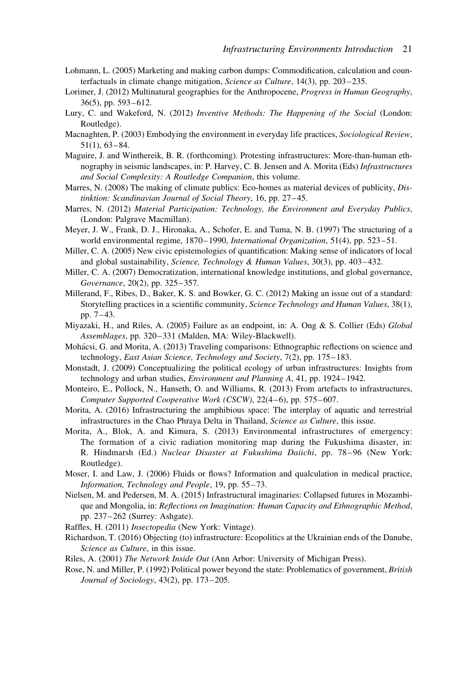- <span id="page-21-0"></span>Lohmann, L. (2005) Marketing and making carbon dumps: Commodification, calculation and counterfactuals in climate change mitigation, Science as Culture, 14(3), pp. 203–235.
- Lorimer, J. (2012) Multinatural geographies for the Anthropocene, *Progress in Human Geography*,  $36(5)$ , pp.  $593 - 612$ .
- Lury, C. and Wakeford, N. (2012) Inventive Methods: The Happening of the Social (London: Routledge).
- Macnaghten, P. (2003) Embodying the environment in everyday life practices, Sociological Review,  $51(1)$ ,  $63-84$ .
- Maguire, J. and Winthereik, B. R. (forthcoming). Protesting infrastructures: More-than-human ethnography in seismic landscapes, in: P. Harvey, C. B. Jensen and A. Morita (Eds) *Infrastructures* and Social Complexity: A Routledge Companion, this volume.
- Marres, N. (2008) The making of climate publics: Eco-homes as material devices of publicity, *Dis*tinktion: Scandinavian Journal of Social Theory, 16, pp. 27 –45.
- Marres, N. (2012) Material Participation: Technology, the Environment and Everyday Publics, (London: Palgrave Macmillan).
- Meyer, J. W., Frank, D. J., Hironaka, A., Schofer, E. and Tuma, N. B. (1997) The structuring of a world environmental regime, 1870–1990, *International Organization*, 51(4), pp. 523–51.
- Miller, C. A. (2005) New civic epistemologies of quantification: Making sense of indicators of local and global sustainability, Science, Technology & Human Values,  $30(3)$ , pp.  $403-432$ .
- Miller, C. A. (2007) Democratization, international knowledge institutions, and global governance, Governance, 20(2), pp. 325-357.
- Millerand, F., Ribes, D., Baker, K. S. and Bowker, G. C. (2012) Making an issue out of a standard: Storytelling practices in a scientific community, Science Technology and Human Values, 38(1), pp. 7 –43.
- Miyazaki, H., and Riles, A. (2005) Failure as an endpoint, in: A. Ong & S. Collier (Eds) Global Assemblages, pp. 320–331 (Malden, MA: Wiley-Blackwell).
- Mohácsi, G. and Morita, A. (2013) Traveling comparisons: Ethnographic reflections on science and technology, East Asian Science, Technology and Society, 7(2), pp. 175–183.
- Monstadt, J. (2009) Conceptualizing the political ecology of urban infrastructures: Insights from technology and urban studies, *Environment and Planning A*, 41, pp. 1924–1942.
- Monteiro, E., Pollock, N., Hanseth, O. and Williams, R. (2013) From artefacts to infrastructures, Computer Supported Cooperative Work (CSCW), 22(4 –6), pp. 575 –607.
- Morita, A. (2016) Infrastructuring the amphibious space: The interplay of aquatic and terrestrial infrastructures in the Chao Phraya Delta in Thailand, *Science as Culture*, this issue.
- Morita, A., Blok, A. and Kimura, S. (2013) Environmental infrastructures of emergency: The formation of a civic radiation monitoring map during the Fukushima disaster, in: R. Hindmarsh (Ed.) Nuclear Disaster at Fukushima Daiichi, pp. 78-96 (New York: Routledge).
- Moser, I. and Law, J. (2006) Fluids or flows? Information and qualculation in medical practice, Information, Technology and People, 19, pp. 55 –73.
- Nielsen, M. and Pedersen, M. A. (2015) Infrastructural imaginaries: Collapsed futures in Mozambique and Mongolia, in: Reflections on Imagination: Human Capacity and Ethnographic Method, pp. 237 –262 (Surrey: Ashgate).
- Raffles, H. (2011) Insectopedia (New York: Vintage).
- Richardson, T. (2016) Objecting (to) infrastructure: Ecopolitics at the Ukrainian ends of the Danube, Science as Culture, in this issue.
- Riles, A. (2001) The Network Inside Out (Ann Arbor: University of Michigan Press).
- Rose, N. and Miller, P. (1992) Political power beyond the state: Problematics of government, British Journal of Sociology, 43(2), pp. 173– 205.